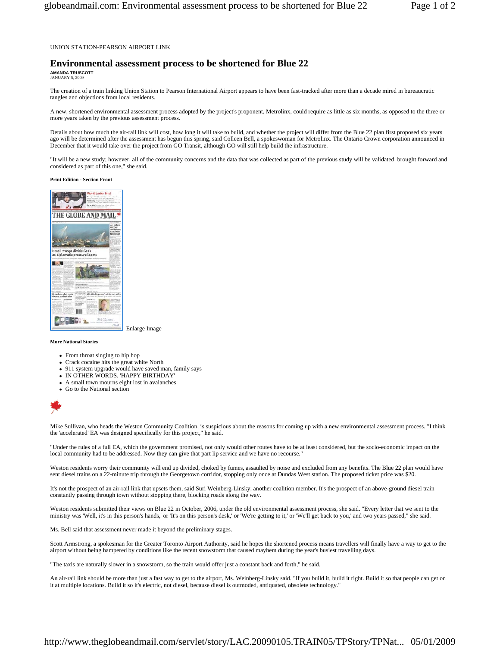UNION STATION-PEARSON AIRPORT LINK

## **Environmental assessment process to be shortened for Blue 22**

**AMANDA TRUSCOTT**  JANUARY 5, 2009

The creation of a train linking Union Station to Pearson International Airport appears to have been fast-tracked after more than a decade mired in bureaucratic tangles and objections from local residents.

A new, shortened environmental assessment process adopted by the project's proponent, Metrolinx, could require as little as six months, as opposed to the three or more years taken by the previous assessment process.

Details about how much the air-rail link will cost, how long it will take to build, and whether the project will differ from the Blue 22 plan first proposed six years ago will be determined after the assessment has begun this spring, said Colleen Bell, a spokeswoman for Metrolinx. The Ontario Crown corporation announced in December that it would take over the project from GO Transit, although GO will still help build the infrastructure.

"It will be a new study; however, all of the community concerns and the data that was collected as part of the previous study will be validated, brought forward and considered as part of this one," she said.

## **Print Edition - Section Front**



Enlarge Image

**More National Stories** 

- From throat singing to hip hop
- Crack cocaine hits the great white North
- 911 system upgrade would have saved man, family says
- IN OTHER WORDS, 'HAPPY BIRTHDAY'
- A small town mourns eight lost in avalanches
- $\bullet$  Go to the National section



Mike Sullivan, who heads the Weston Community Coalition, is suspicious about the reasons for coming up with a new environmental assessment process. "I think the 'accelerated' EA was designed specifically for this project," he said.

"Under the rules of a full EA, which the government promised, not only would other routes have to be at least considered, but the socio-economic impact on the local community had to be addressed. Now they can give that part lip service and we have no recourse."

Weston residents worry their community will end up divided, choked by fumes, assaulted by noise and excluded from any benefits. The Blue 22 plan would have sent diesel trains on a 22-minute trip through the Georgetown corridor, stopping only once at Dundas West station. The proposed ticket price was \$20.

It's not the prospect of an air-rail link that upsets them, said Suri Weinberg-Linsky, another coalition member. It's the prospect of an above-ground diesel train constantly passing through town without stopping there, blocking roads along the way.

Weston residents submitted their views on Blue 22 in October, 2006, under the old environmental assessment process, she said. "Every letter that we sent to the ministry was 'Well, it's in this person's hands,' or 'It's on this person's desk,' or 'We're getting to it,' or 'We'll get back to you,' and two years passed," she said.

Ms. Bell said that assessment never made it beyond the preliminary stages.

Scott Armstrong, a spokesman for the Greater Toronto Airport Authority, said he hopes the shortened process means travellers will finally have a way to get to the airport without being hampered by conditions like the recent snowstorm that caused mayhem during the year's busiest travelling days.

"The taxis are naturally slower in a snowstorm, so the train would offer just a constant back and forth," he said.

An air-rail link should be more than just a fast way to get to the airport, Ms. Weinberg-Linsky said. "If you build it, build it right. Build it so that people can get on it at multiple locations. Build it so it's electric, not diesel, because diesel is outmoded, antiquated, obsolete technology."